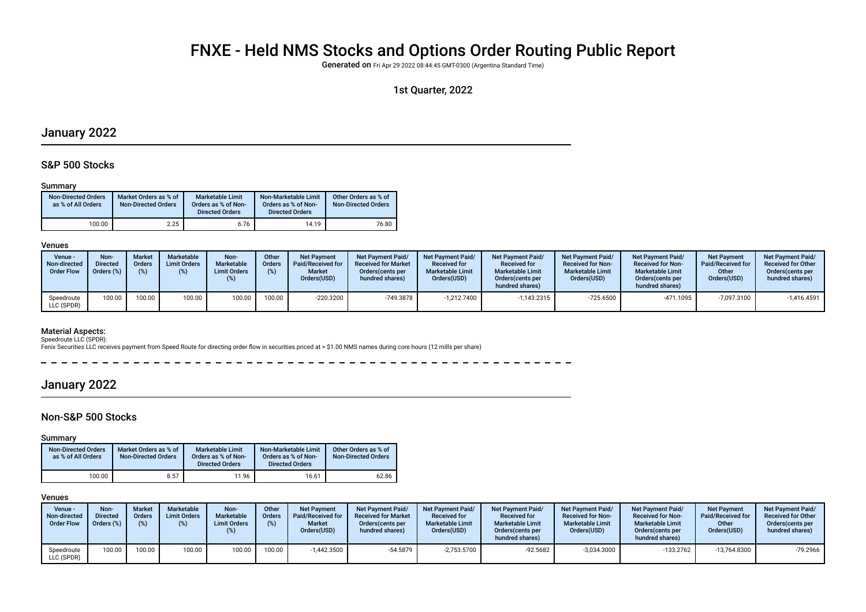# FNXE - Held NMS Stocks and Options Order Routing Public Report

Generated on Fri Apr 29 2022 08:44:45 GMT-0300 (Argentina Standard Time)

## 1st Quarter, 2022

# January 2022

### S&P 500 Stocks

#### Summary

| <b>Non-Directed Orders</b><br>as % of All Orders | Market Orders as % of<br><b>Non-Directed Orders</b> | Marketable Limit<br>Orders as % of Non-<br><b>Directed Orders</b> | Non-Marketable Limit<br>Orders as % of Non-<br><b>Directed Orders</b> | Other Orders as % of<br><b>Non-Directed Orders</b> |
|--------------------------------------------------|-----------------------------------------------------|-------------------------------------------------------------------|-----------------------------------------------------------------------|----------------------------------------------------|
| 100.00                                           | 2.25                                                | 6.76                                                              | 14.19                                                                 | 76.80                                              |

#### Venues

| Venue -<br>Non-directed<br><b>Order Flow</b> | Non-<br><b>Directed</b><br>Orders (%) | <b>Market</b><br><b>Orders</b> | Marketable<br><b>Limit Orders</b><br>(%) | Non-<br><b>Marketable</b><br><b>Limit Orders</b> | Other<br><b>Orders</b><br>(%) | <b>Net Payment</b><br>Paid/Received for<br><b>Market</b><br>Orders(USD) | <b>Net Payment Paid/</b><br><b>Received for Market</b><br>Orders(cents per<br>hundred shares) | Net Payment Paid/<br><b>Received for</b><br><b>Marketable Limit</b><br>Orders(USD) | <b>Net Payment Paid/</b><br><b>Received for</b><br><b>Marketable Limit</b><br>Orders (cents per<br>hundred shares) | Net Payment Paid/<br><b>Received for Non-</b><br><b>Marketable Limit</b><br>Orders(USD) | <b>Net Payment Paid/</b><br><b>Received for Non-</b><br><b>Marketable Limit</b><br>Orders(cents per<br>hundred shares) | <b>Net Payment</b><br>Paid/Received for<br>Other<br>Orders(USD) | <b>Net Payment Paid/</b><br><b>Received for Other</b><br>Orders(cents per<br>hundred shares) |
|----------------------------------------------|---------------------------------------|--------------------------------|------------------------------------------|--------------------------------------------------|-------------------------------|-------------------------------------------------------------------------|-----------------------------------------------------------------------------------------------|------------------------------------------------------------------------------------|--------------------------------------------------------------------------------------------------------------------|-----------------------------------------------------------------------------------------|------------------------------------------------------------------------------------------------------------------------|-----------------------------------------------------------------|----------------------------------------------------------------------------------------------|
| Speedroute<br>LLC (SPDR)                     | 100.00                                | 100.00                         | 100.00                                   | 100.00                                           | 100.00                        | -220.3200                                                               | -749.3878                                                                                     | $-1.212.7400$                                                                      | $-1,143.2315$                                                                                                      | $-725.6500$                                                                             | $-471.1095$                                                                                                            | $-7.097.3100$                                                   | $-1,416.4591$                                                                                |

#### Material Aspects:

Speedroute LLC (SPDR):<br>Fenix Securities LLC receives payment from Speed Route for directing order flow in securities priced at > \$1.00 NMS names during core hours (12 mills per share)

 $\frac{1}{2}$ -----------

# January 2022

## Non-S&P 500 Stocks

Summary

| <b>Non-Directed Orders</b><br>as % of All Orders | Market Orders as % of<br><b>Non-Directed Orders</b> | <b>Marketable Limit</b><br>Orders as % of Non-<br><b>Directed Orders</b> | Non-Marketable Limit<br>Orders as % of Non-<br><b>Directed Orders</b> | Other Orders as % of<br><b>Non-Directed Orders</b> |
|--------------------------------------------------|-----------------------------------------------------|--------------------------------------------------------------------------|-----------------------------------------------------------------------|----------------------------------------------------|
| 100.00                                           | 8.57                                                | 11.96                                                                    | 16.61                                                                 | 62.86                                              |

#### Venues

| Venue -<br>Non-directed<br><b>Order Flow</b> | Non-<br><b>Directed</b><br>Orders (%) | <b>Market</b><br>Orders<br>(% ) | Marketable<br><b>Limit Orders</b><br>$(\%)$ | Non-<br>Marketable<br><b>Limit Orders</b> | Other<br><b>Orders</b><br>(%) | <b>Net Payment</b><br>Paid/Received for<br><b>Market</b><br>Orders(USD) | <b>Net Payment Paid/</b><br><b>Received for Market</b><br>Orders (cents per<br>hundred shares) | Net Payment Paid/<br><b>Received for</b><br><b>Marketable Limit</b><br>Orders(USD) | <b>Net Payment Paid/</b><br><b>Received for</b><br><b>Marketable Limit</b><br>Orders (cents per<br>hundred shares) | <b>Net Payment Paid/</b><br><b>Received for Non-</b><br><b>Marketable Limit</b><br>Orders(USD) | <b>Net Payment Paid/</b><br><b>Received for Non-</b><br><b>Marketable Limit</b><br>Orders cents per<br>hundred shares) | <b>Net Payment</b><br>Paid/Received for<br>Other<br>Orders(USD) | <b>Net Payment Paid/</b><br><b>Received for Other</b><br>Orders(cents per<br>hundred shares) |
|----------------------------------------------|---------------------------------------|---------------------------------|---------------------------------------------|-------------------------------------------|-------------------------------|-------------------------------------------------------------------------|------------------------------------------------------------------------------------------------|------------------------------------------------------------------------------------|--------------------------------------------------------------------------------------------------------------------|------------------------------------------------------------------------------------------------|------------------------------------------------------------------------------------------------------------------------|-----------------------------------------------------------------|----------------------------------------------------------------------------------------------|
| Speedroute<br>LLC (SPDR)                     | 100.00                                | 100.00                          | 100.00                                      | 100.00                                    | 100.00                        | $-1.442.3500$                                                           | -54.5879                                                                                       | $-2.753.5700$                                                                      | $-92.5682$                                                                                                         | $-3,034.3000$                                                                                  | $-133.2762$                                                                                                            | $-13.764.8300$                                                  | $-79.2966$                                                                                   |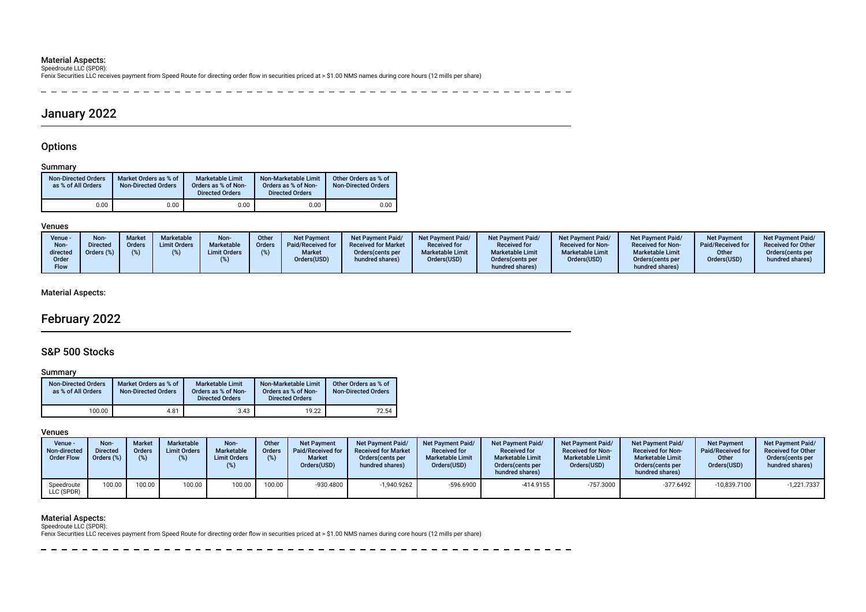**Material Aspects:**<br>Speedroute LLC (SPDR):<br>Fenix Securities LLC receives payment from Speed Route for directing order flow in securities priced at > \$1.00 NMS names during core hours (12 mills per share)

\_\_\_\_\_\_\_\_\_\_\_\_\_\_\_\_\_\_\_\_\_\_\_\_\_\_\_\_\_  $- - - - - - -$ 

# January 2022

## **Options**

## Summary

| <b>Non-Directed Orders</b><br>as % of All Orders | Market Orders as % of<br><b>Non-Directed Orders</b> | <b>Marketable Limit</b><br>Orders as % of Non-<br><b>Directed Orders</b> | Non-Marketable Limit<br>Orders as % of Non-<br><b>Directed Orders</b> | Other Orders as % of<br><b>Non-Directed Orders</b> |
|--------------------------------------------------|-----------------------------------------------------|--------------------------------------------------------------------------|-----------------------------------------------------------------------|----------------------------------------------------|
| 0.00                                             | 0.00                                                | 0.00                                                                     | 0.00                                                                  | 0.00                                               |

#### Venues

| Venue -<br>Non-<br>directed<br>Order<br>Flow | <b>Non</b><br><b>Directed</b><br>Orders (%) | <b>Market</b><br><b>Orders</b><br>(%) | Marketable<br><b>Limit Orders</b> | Non-<br><b>Marketable</b><br><b>Limit Orders</b> | Other<br>Orders | <b>Net Payment</b><br>Paid/Received for<br><b>Market</b><br>Orders(USD) | <b>Net Payment Paid/</b><br><b>Received for Market</b><br>Orders (cents per<br>hundred shares) | <b>Net Payment Paid/</b><br><b>Received for</b><br><b>Marketable Limit</b><br>Orders(USD) | <b>Net Payment Paid/</b><br><b>Received for</b><br><b>Marketable Limit</b><br>Orders (cents per<br>hundred shares) | Net Payment Paid/<br><b>Received for Non-</b><br><b>Marketable Limit</b><br>Orders(USD) | <b>Net Payment Paid/</b><br><b>Received for Non-</b><br><b>Marketable Limit</b><br>Orders (cents per<br>hundred shares) | <b>Net Payment</b><br>Paid/Received for<br>Other<br>Orders(USD) | <b>Net Payment Paid/</b><br><b>Received for Other</b><br>Orders (cents per<br>hundred shares) |
|----------------------------------------------|---------------------------------------------|---------------------------------------|-----------------------------------|--------------------------------------------------|-----------------|-------------------------------------------------------------------------|------------------------------------------------------------------------------------------------|-------------------------------------------------------------------------------------------|--------------------------------------------------------------------------------------------------------------------|-----------------------------------------------------------------------------------------|-------------------------------------------------------------------------------------------------------------------------|-----------------------------------------------------------------|-----------------------------------------------------------------------------------------------|
|----------------------------------------------|---------------------------------------------|---------------------------------------|-----------------------------------|--------------------------------------------------|-----------------|-------------------------------------------------------------------------|------------------------------------------------------------------------------------------------|-------------------------------------------------------------------------------------------|--------------------------------------------------------------------------------------------------------------------|-----------------------------------------------------------------------------------------|-------------------------------------------------------------------------------------------------------------------------|-----------------------------------------------------------------|-----------------------------------------------------------------------------------------------|

## Material Aspects:

# February 2022

# S&P 500 Stocks

#### Summary

| <b>Non-Directed Orders</b><br>as % of All Orders | Market Orders as % of<br><b>Non-Directed Orders</b> | Marketable Limit<br>Orders as % of Non-<br><b>Directed Orders</b> | Non-Marketable Limit<br>Orders as % of Non-<br><b>Directed Orders</b> | Other Orders as % of<br><b>Non-Directed Orders</b> |
|--------------------------------------------------|-----------------------------------------------------|-------------------------------------------------------------------|-----------------------------------------------------------------------|----------------------------------------------------|
| 100.00                                           | 4.81                                                | 3.43                                                              | 19.22                                                                 | 72.54                                              |

#### Venues

| Venue -<br>Non-directed<br><b>Order Flow</b> | Non-<br><b>Directed</b><br>Orders (%) | Market<br>Orders<br>(% ) | Marketable<br><b>Limit Orders</b><br>(%) | Non-<br>Marketable<br><b>Limit Orders</b> | Other<br><b>Orders</b><br>(%) | <b>Net Payment</b><br>Paid/Received for<br><b>Market</b><br>Orders(USD) | <b>Net Payment Paid/</b><br><b>Received for Market</b><br>Orders (cents per<br>hundred shares) | Net Payment Paid/<br><b>Received for</b><br><b>Marketable Limit</b><br>Orders(USD) | <b>Net Payment Paid/</b><br><b>Received for</b><br><b>Marketable Limit</b><br>Orders (cents per<br>hundred shares) | <b>Net Payment Paid/</b><br><b>Received for Non-</b><br><b>Marketable Limit</b><br>Orders(USD) | <b>Net Payment Paid/</b><br><b>Received for Non-</b><br><b>Marketable Limit</b><br>Orders (cents per<br>hundred shares) | <b>Net Payment</b><br>Paid/Received for<br>Other<br>Orders(USD) | <b>Net Payment Paid/</b><br><b>Received for Other</b><br>Orders (cents per<br>hundred shares) |
|----------------------------------------------|---------------------------------------|--------------------------|------------------------------------------|-------------------------------------------|-------------------------------|-------------------------------------------------------------------------|------------------------------------------------------------------------------------------------|------------------------------------------------------------------------------------|--------------------------------------------------------------------------------------------------------------------|------------------------------------------------------------------------------------------------|-------------------------------------------------------------------------------------------------------------------------|-----------------------------------------------------------------|-----------------------------------------------------------------------------------------------|
| Speedroute<br>LLC (SPDR)                     | 100.00                                | 00.00"                   | 100.00                                   | 100.00                                    | 100.00                        | $-930.4800$                                                             | $-1,940.9262$                                                                                  | $-596.6900$                                                                        | $-414.9155$                                                                                                        | $-757.3000$                                                                                    | $-377.6492$                                                                                                             | -10.839.7100                                                    | $-1,221.7337$                                                                                 |

# Material Aspects: Speedroute LLC (SPDR):

Fenix Securities LLC receives payment from Speed Route for directing order fow in securities priced at > \$1.00 NMS names during core hours (12 mills per share)

 $- - - - - - -$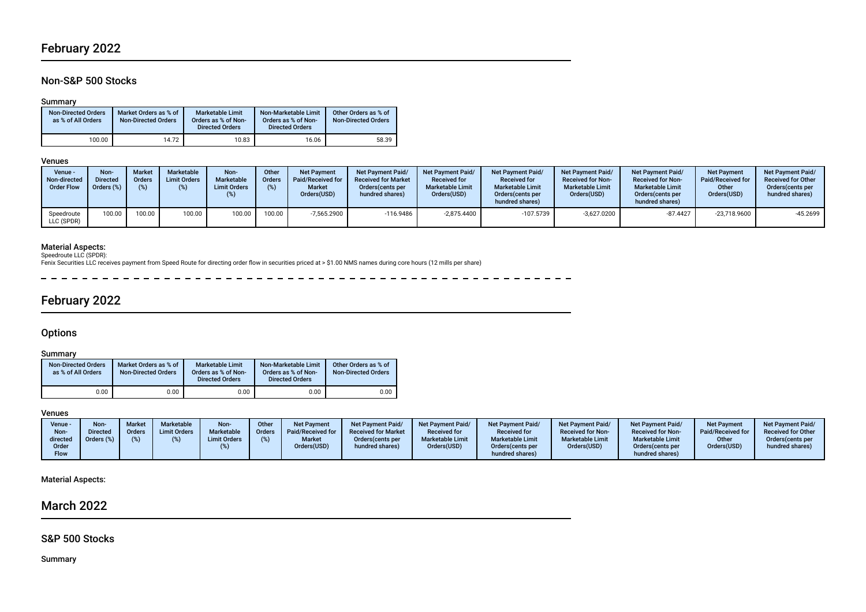# February 2022

# Non-S&P 500 Stocks

## Summary

| <b>Non-Directed Orders</b><br>as % of All Orders | Market Orders as % of<br><b>Non-Directed Orders</b> | Marketable Limit<br>Orders as % of Non-<br><b>Directed Orders</b> | Non-Marketable Limit<br>Orders as % of Non-<br><b>Directed Orders</b> | Other Orders as % of<br><b>Non-Directed Orders</b> |
|--------------------------------------------------|-----------------------------------------------------|-------------------------------------------------------------------|-----------------------------------------------------------------------|----------------------------------------------------|
| 100.00                                           | 14.72                                               | 10.83                                                             | 16.06                                                                 | 58.39                                              |

### Venues

| Venue ·<br>Non-directed<br><b>Order Flow</b> | Non-<br><b>Directed</b><br>Orders (%) | <b>Market</b><br><b>Orders</b> | Marketable<br><b>Limit Orders</b><br>(%) | Non-<br><b>Marketable</b><br><b>Limit Orders</b> | Other<br><b>Orders</b><br>$(\%)$ | <b>Net Payment</b><br><b>Paid/Received for</b><br><b>Market</b><br>Orders(USD) | <b>Net Payment Paid/</b><br><b>Received for Market</b><br>Orders (cents per<br>hundred shares) | Net Payment Paid/<br><b>Received for</b><br><b>Marketable Limit</b><br>Orders(USD) | <b>Net Payment Paid/</b><br><b>Received for</b><br><b>Marketable Limit</b><br>Orders (cents per<br>hundred shares) | <b>Net Payment Paid/</b><br><b>Received for Non-</b><br><b>Marketable Limit</b><br>Orders(USD) | <b>Net Payment Paid/</b><br><b>Received for Non-</b><br><b>Marketable Limit</b><br>Orders (cents per<br>hundred shares) | <b>Net Payment</b><br>Paid/Received for<br>Other<br>Orders(USD) | <b>Net Payment Paid/</b><br><b>Received for Other</b><br>Orders(cents per<br>hundred shares) |
|----------------------------------------------|---------------------------------------|--------------------------------|------------------------------------------|--------------------------------------------------|----------------------------------|--------------------------------------------------------------------------------|------------------------------------------------------------------------------------------------|------------------------------------------------------------------------------------|--------------------------------------------------------------------------------------------------------------------|------------------------------------------------------------------------------------------------|-------------------------------------------------------------------------------------------------------------------------|-----------------------------------------------------------------|----------------------------------------------------------------------------------------------|
| Speedroute<br>LLC (SPDR)                     | 100.00                                | 100.00                         | 100.00                                   | 100.00                                           | 100.00                           | $-7,565.2900$                                                                  | $-116.9486$                                                                                    | $-2,875.4400$                                                                      | -107.5739                                                                                                          | $-3,627.0200$                                                                                  | $-87.4427$                                                                                                              | $-23,718.9600$                                                  | $-45.2699$                                                                                   |

**Material Aspects:**<br>Speedroute LLC (SPDR):<br>Fenix Securities LLC receives payment from Speed Route for directing order flow in securities priced at > \$1.00 NMS names during core hours (12 mills per share)

- - - - - - - - - - - $\rightarrow$ 

# February 2022

# **Options**

### Summary

| <b>Non-Directed Orders</b><br>as % of All Orders | Market Orders as % of<br><b>Non-Directed Orders</b> | Marketable Limit<br>Orders as % of Non-<br><b>Directed Orders</b> | Non-Marketable Limit<br>Orders as % of Non-<br><b>Directed Orders</b> | Other Orders as % of<br><b>Non-Directed Orders</b> |
|--------------------------------------------------|-----------------------------------------------------|-------------------------------------------------------------------|-----------------------------------------------------------------------|----------------------------------------------------|
| 0.00                                             | 0.00                                                | 0.00                                                              | 0.00                                                                  | 0.00                                               |

#### Venues

| Venue -<br>Non-<br>directed<br>Order<br><b>Flow</b> | Non<br>)irected<br>$Jrders (\%)$ | Market<br><b>Orders</b> | <b>Marketable</b><br><b>Limit Orders</b> | Non-<br><b>Marketable</b><br><b>Limit Orders</b> | <b>Other</b><br><b>Orders</b> | <b>Net Payment</b><br>Paid/Received for<br><b>Market</b><br>Orders(USD) | <b>Net Payment Paid/</b><br><b>Received for Market</b><br>Orders (cents per<br>hundred shares) | Net Payment Paid/<br><b>Received for</b><br><b>Marketable Limit</b><br>Orders(USD) | <b>Net Payment Paid/</b><br><b>Received for</b><br><b>Marketable Limit</b><br>Orders (cents per<br>hundred shares) | Net Payment Paid/<br><b>Received for Non-</b><br><b>Marketable Limit</b><br>Orders(USD) | <b>Net Payment Paid/</b><br><b>Received for Non-</b><br><b>Marketable Limit</b><br>Orders(cents per<br>hundred shares) | <b>Net Payment</b><br>Paid/Received for<br>Other<br>Orders(USD) | <b>Net Payment Paid/</b><br><b>Received for Other</b><br>Orders(cents per<br>hundred shares) |
|-----------------------------------------------------|----------------------------------|-------------------------|------------------------------------------|--------------------------------------------------|-------------------------------|-------------------------------------------------------------------------|------------------------------------------------------------------------------------------------|------------------------------------------------------------------------------------|--------------------------------------------------------------------------------------------------------------------|-----------------------------------------------------------------------------------------|------------------------------------------------------------------------------------------------------------------------|-----------------------------------------------------------------|----------------------------------------------------------------------------------------------|
|-----------------------------------------------------|----------------------------------|-------------------------|------------------------------------------|--------------------------------------------------|-------------------------------|-------------------------------------------------------------------------|------------------------------------------------------------------------------------------------|------------------------------------------------------------------------------------|--------------------------------------------------------------------------------------------------------------------|-----------------------------------------------------------------------------------------|------------------------------------------------------------------------------------------------------------------------|-----------------------------------------------------------------|----------------------------------------------------------------------------------------------|

## Material Aspects:

# March 2022

# S&P 500 Stocks

Summary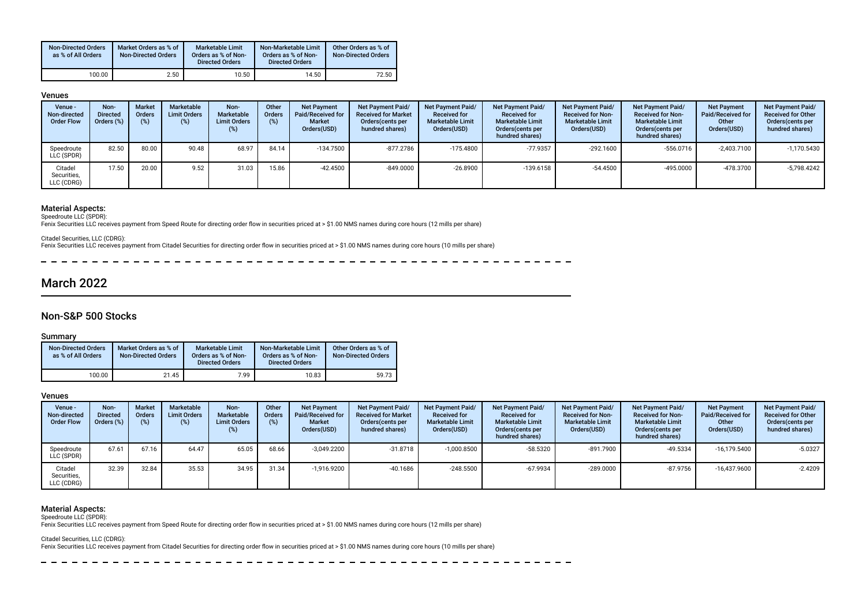| <b>Non-Directed Orders</b><br>as % of All Orders | Market Orders as % of<br><b>Non-Directed Orders</b> | Marketable Limit<br>Orders as % of Non-<br><b>Directed Orders</b> | Non-Marketable Limit<br>Orders as % of Non-<br><b>Directed Orders</b> | Other Orders as % of<br><b>Non-Directed Orders</b> |
|--------------------------------------------------|-----------------------------------------------------|-------------------------------------------------------------------|-----------------------------------------------------------------------|----------------------------------------------------|
| 100.00                                           | 2.50                                                | 10.50                                                             | 14.50                                                                 | 72.50                                              |

#### Venues

| Venue -<br>Non-directed<br><b>Order Flow</b> | Non-<br><b>Directed</b><br>Orders (%) | <b>Market</b><br><b>Orders</b> | Marketable<br><b>Limit Orders</b><br>(%) | Non-<br>Marketable<br><b>Limit Orders</b><br>(%) | Other<br>Orders<br>$(\%)$ | <b>Net Payment</b><br>Paid/Received for<br>Market<br>Orders(USD) | <b>Net Payment Paid/</b><br><b>Received for Market</b><br>Orders cents per<br>hundred shares) | Net Payment Paid/<br><b>Received for</b><br><b>Marketable Limit</b><br>Orders(USD) | <b>Net Payment Paid/</b><br><b>Received for</b><br><b>Marketable Limit</b><br>Orders (cents per<br>hundred shares) | <b>Net Payment Paid/</b><br><b>Received for Non-</b><br><b>Marketable Limit</b><br>Orders(USD) | <b>Net Payment Paid/</b><br><b>Received for Non-</b><br><b>Marketable Limit</b><br>Orders (cents per<br>hundred shares) | <b>Net Payment</b><br>Paid/Received for<br>Other<br>Orders(USD) | <b>Net Payment Paid/</b><br><b>Received for Other</b><br>Orders (cents per<br>hundred shares) |
|----------------------------------------------|---------------------------------------|--------------------------------|------------------------------------------|--------------------------------------------------|---------------------------|------------------------------------------------------------------|-----------------------------------------------------------------------------------------------|------------------------------------------------------------------------------------|--------------------------------------------------------------------------------------------------------------------|------------------------------------------------------------------------------------------------|-------------------------------------------------------------------------------------------------------------------------|-----------------------------------------------------------------|-----------------------------------------------------------------------------------------------|
| Speedroute<br>LLC (SPDR)                     | 82.50                                 | 80.00                          | 90.48                                    | 68.97                                            | 84.14                     | $-134.7500$                                                      | -877.2786                                                                                     | $-175.4800$                                                                        | $-77.9357$                                                                                                         | $-292.1600$                                                                                    | $-556.0716$                                                                                                             | $-2.403.7100$                                                   | $-1,170.5430$                                                                                 |
| Citadel<br>Securities,<br>LLC (CDRG)         | 17.50                                 | 20.00                          | 9.52                                     | 31.03                                            | 15.86                     | $-42.4500$                                                       | $-849.0000$                                                                                   | $-26.8900$                                                                         | $-139.6158$                                                                                                        | -54.4500                                                                                       | $-495.0000$                                                                                                             | -478.3700                                                       | $-5,798.4242$                                                                                 |

#### Material Aspects:

Speedroute LLC (SPDR):

Fenix Securities LLC receives payment from Speed Route for directing order fow in securities priced at > \$1.00 NMS names during core hours (12 mills per share)

Citadel Securities, LLC (CDRG):

Fenix Securities LLC receives payment from Citadel Securities for directing order flow in securities priced at > \$1.00 NMS names during core hours (10 mills per share)

 $\frac{1}{2}$  $- - - - - -$ 

# March 2022

# Non-S&P 500 Stocks

#### Summary

| <b>Non-Directed Orders</b><br>as % of All Orders | Market Orders as % of<br><b>Non-Directed Orders</b> | Marketable Limit<br>Orders as % of Non-<br><b>Directed Orders</b> | Non-Marketable Limit<br>Orders as % of Non-<br><b>Directed Orders</b> | Other Orders as % of<br><b>Non-Directed Orders</b> |
|--------------------------------------------------|-----------------------------------------------------|-------------------------------------------------------------------|-----------------------------------------------------------------------|----------------------------------------------------|
| 100.00                                           | 21.45                                               | 7.99                                                              | 10.83                                                                 | 59.73                                              |

#### Venues

| Venue -<br>Non-directed<br><b>Order Flow</b> | Non-<br><b>Directed</b><br>Orders (%) | <b>Market</b><br>Orders<br>(%) | Marketable<br><b>Limit Orders</b><br>$(\%)$ | Non-<br><b>Marketable</b><br><b>Limit Orders</b><br>(%) | Other<br><b>Orders</b><br>(%) | <b>Net Payment</b><br>Paid/Received for<br><b>Market</b><br>Orders(USD) | <b>Net Payment Paid/</b><br><b>Received for Market</b><br>Orders (cents per<br>hundred shares) | Net Payment Paid/<br><b>Received for</b><br><b>Marketable Limit</b><br>Orders(USD) | Net Payment Paid/<br><b>Received for</b><br><b>Marketable Limit</b><br>Orders (cents per<br>hundred shares) | <b>Net Payment Paid/</b><br><b>Received for Non-</b><br><b>Marketable Limit</b><br>Orders(USD) | <b>Net Payment Paid/</b><br><b>Received for Non-</b><br><b>Marketable Limit</b><br>Orders (cents per<br>hundred shares) | <b>Net Payment</b><br><b>Paid/Received for</b><br>Other<br>Orders(USD) | Net Payment Paid/<br><b>Received for Other</b><br>Orders (cents per<br>hundred shares) |
|----------------------------------------------|---------------------------------------|--------------------------------|---------------------------------------------|---------------------------------------------------------|-------------------------------|-------------------------------------------------------------------------|------------------------------------------------------------------------------------------------|------------------------------------------------------------------------------------|-------------------------------------------------------------------------------------------------------------|------------------------------------------------------------------------------------------------|-------------------------------------------------------------------------------------------------------------------------|------------------------------------------------------------------------|----------------------------------------------------------------------------------------|
| Speedroute<br>LLC (SPDR)                     | 67.61                                 | 67.16                          | 64.47                                       | 65.05                                                   | 68.66                         | $-3,049.2200$                                                           | $-31.8718$                                                                                     | $-1,000.8500$                                                                      | $-58.5320$                                                                                                  | $-891.7900$                                                                                    | $-49.5334$                                                                                                              | $-16.179.5400$                                                         | $-5.0327$                                                                              |
| Citadel<br>Securities,<br>LLC (CDRG)         | 32.39                                 | 32.84                          | 35.53                                       | 34.95                                                   | 31.34                         | $-1,916.9200$                                                           | -40.1686                                                                                       | $-248.5500$                                                                        | -67.9934                                                                                                    | $-289.0000$                                                                                    | $-87.9756$                                                                                                              | $-16.437.9600$                                                         | $-2.4209$                                                                              |

#### Material Aspects:

Speedroute LLC (SPDR):

Fenix Securities LLC receives payment from Speed Route for directing order flow in securities priced at > \$1.00 NMS names during core hours (12 mills per share)

Citadel Securities, LLC (CDRG):

Fenix Securities LLC receives payment from Citadel Securities for directing order flow in securities priced at > \$1.00 NMS names during core hours (10 mills per share)